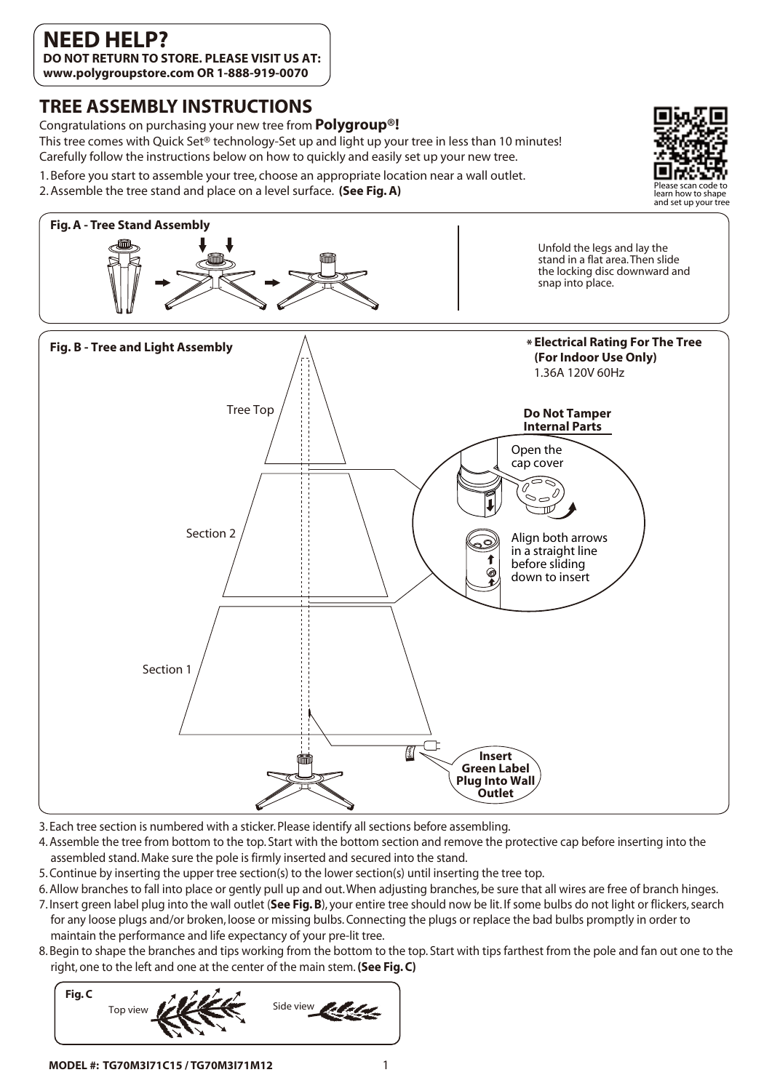## **TREE ASSEMBLY INSTRUCTIONS**

Congratulations on purchasing your new tree from **Polygroup®!** 

This tree comes with Quick Set® technology-Set up and light up your tree in less than 10 minutes! Carefully follow the instructions below on how to quickly and easily set up your new tree.

- 1. Before you start to assemble your tree, choose an appropriate location near a wall outlet.
- 2. Assemble the tree stand and place on a level surface. **(See Fig. A)**





- 3. Each tree section is numbered with a sticker. Please identify all sections before assembling.
- 4. Assemble the tree from bottom to the top. Start with the bottom section and remove the protective cap before inserting into the assembled stand. Make sure the pole is firmly inserted and secured into the stand.
- 5. Continue by inserting the upper tree section(s) to the lower section(s) until inserting the tree top.
- 6. Allow branches to fall into place or gently pull up and out. When adjusting branches, be sure that all wires are free of branch hinges.
- 7. Insert green label plug into the wall outlet (**See Fig. B**), your entire tree should now be lit. If some bulbs do not light or flickers, search for any loose plugs and/or broken, loose or missing bulbs. Connecting the plugs or replace the bad bulbs promptly in order to maintain the performance and life expectancy of your pre-lit tree.
- 8. Begin to shape the branches and tips working from the bottom to the top. Start with tips farthest from the pole and fan out one to the right, one to the left and one at the center of the main stem. **(See Fig. C)**